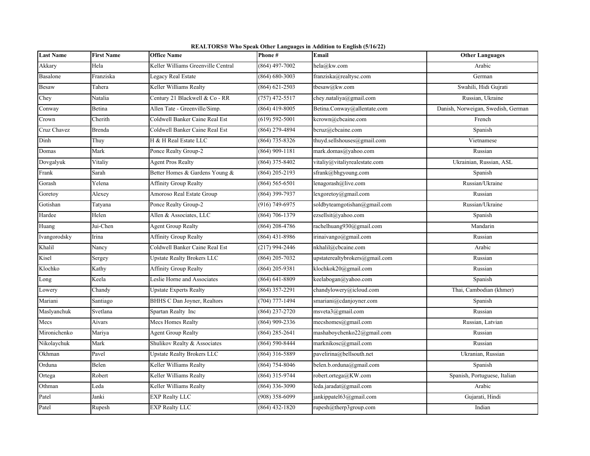| <b>Last Name</b> | <b>First Name</b> | <b>Office Name</b>                        | Phone#             | Email                          | <b>Other Languages</b>             |
|------------------|-------------------|-------------------------------------------|--------------------|--------------------------------|------------------------------------|
| Akkary           | Hela              | <b>Zeller Williams Greenville Central</b> | $(864)$ 497-7002   | hela@kw.com                    | Arabic                             |
| Basalone         | Franziska         | Legacy Real Estate                        | $(864) 680 - 3003$ | franziska@realtysc.com         | German                             |
| <b>Besaw</b>     | Tahera            | Keller Williams Realty                    | $(864) 621 - 2503$ | tbesaw@kw.com                  | Swahili, Hidi Gujrati              |
| Chey             | Natalia           | Century 21 Blackwell & Co - RR            | $(757)$ 472-5517   | chey.nataliya@gmail.com        | Russian, Ukraine                   |
| Conway           | Betina            | Allen Tate - Greenville/Simp.             | (864) 419-8005     | Betina.Conway@allentate.com    | Danish, Norweigan, Swedish, German |
| Crown            | Cherith           | Coldwell Banker Caine Real Est            | $(619) 592 - 5001$ | kcrown@cbcaine.com             | French                             |
| Cruz Chavez      | Brenda            | Coldwell Banker Caine Real Est            | (864) 279-4894     | bcruz@cbcaine.com              | Spanish                            |
| Dinh             | Thuy              | H & H Real Estate LLC                     | (864) 735-8326     | thuyd.sellshouses@gmail.com    | Vietnamese                         |
| Domas            | Mark              | Ponce Realty Group-2                      | $(864)$ 909-1181   | mark.domas@yahoo.com           | Russian                            |
| Dovgalyuk        | Vitaliy           | <b>Agent Pros Realty</b>                  | (864) 375-8402     | vitaliy@vitaliyrealestate.com  | Ukrainian, Russian, ASL            |
| Frank            | Sarah             | Better Homes & Gardens Young &            | $(864)$ 205-2193   | sfrank@bhgyoung.com            | Spanish                            |
| Gorash           | Yelena            | Affinity Group Realty                     | $(864) 565 - 6501$ | lenagorash@live.com            | Russian/Ukraine                    |
| Goretoy          | Alexey            | Amoroso Real Estate Group                 | $(864)$ 399-7937   | lexgoretoy@gmail.com           | Russian                            |
| Gotishan         | Tatyana           | Ponce Realty Group-2                      | (916) 749-6975     | soldbyteamgotishan@gmail.com   | Russian/Ukraine                    |
| Hardee           | Helen             | Allen & Associates, LLC                   | $(864) 706 - 1379$ | ezsellsit@yahoo.com            | Spanish                            |
| Huang            | Jui-Chen          | <b>Agent Group Realty</b>                 | $(864)$ 208-4786   | rachelhuang930@gmail.com       | Mandarin                           |
| Ivangorodsky     | Irina             | <b>Affinity Group Realty</b>              | $(864)$ 431-8986   | irinaivango@gmail.com          | Russian                            |
| Khalil           | Nancy             | Coldwell Banker Caine Real Est            | $(217)$ 994-2446   | nkhalil@cbcaine.com            | Arabic                             |
| Kisel            | Sergey            | Upstate Realty Brokers LLC                | $(864)$ 205-7032   | upstaterealtybrokers@gmail.com | Russian                            |
| Klochko          | Kathy             | <b>Affinity Group Realty</b>              | (864) 205-9381     | klochkok20@gmail.com           | Russian                            |
| Long             | Keela             | Leslie Horne and Associates               | $(864) 641 - 8809$ | keelabogan@yahoo.com           | Spanish                            |
| Lowery           | Chandy            | <b>Upstate Experts Realty</b>             | (864) 357-2291     | chandylowery@icloud.com        | Thai, Cambodian (khmer)            |
| Mariani          | Santiago          | BHHS C Dan Joyner, Realtors               | $(704)$ 777-1494   | smariani@cdanjoyner.com        | Spanish                            |
| Maslyanchuk      | Svetlana          | Spartan Realty Inc                        | (864) 237-2720     | msveta3@gmail.com              | Russian                            |
| Mecs             | Aivars            | Mecs Homes Realty                         | (864) 909-2336     | mecshomes@gmail.com            | Russian, Latvian                   |
| Mironichenko     | Mariya            | <b>Agent Group Realty</b>                 | $(864)$ 285-2641   | mashaboychenko22@gmail.com     | Russian                            |
| Nikolaychuk      | Mark              | Shulikov Realty & Associates              | (864) 590-8444     | marknikosc@gmail.com           | Russian                            |
| Okhman           | Pavel             | <b>Upstate Realty Brokers LLC</b>         | $(864)$ 316-5889   | pavelirina@bellsouth.net       | Ukranian, Russian                  |
| Orduna           | Belen             | Keller Williams Realty                    | $(864) 754 - 8046$ | belen.b.orduna@gmail.com       | Spanish                            |
| Ortega           | Robert            | Keller Williams Realty                    | (864) 315-9744     | robert.ortega@KW.com           | Spanish, Portuguese, Italian       |
| Othman           | Leda              | Keller Williams Realty                    | $(864)$ 336-3090   | leda.jaradat@gmail.com         | Arabic                             |
| Patel            | Janki             | <b>EXP Realty LLC</b>                     | $(908)$ 358-6099   | jankippatel63@gmail.com        | Gujarati, Hindi                    |
| Patel            | Rupesh            | <b>EXP Realty LLC</b>                     | $(864)$ 432-1820   | rupesh@therp3group.com         | Indian                             |

**REALTORS® Who Speak Other Languages in Addition to English (5/16/22)**